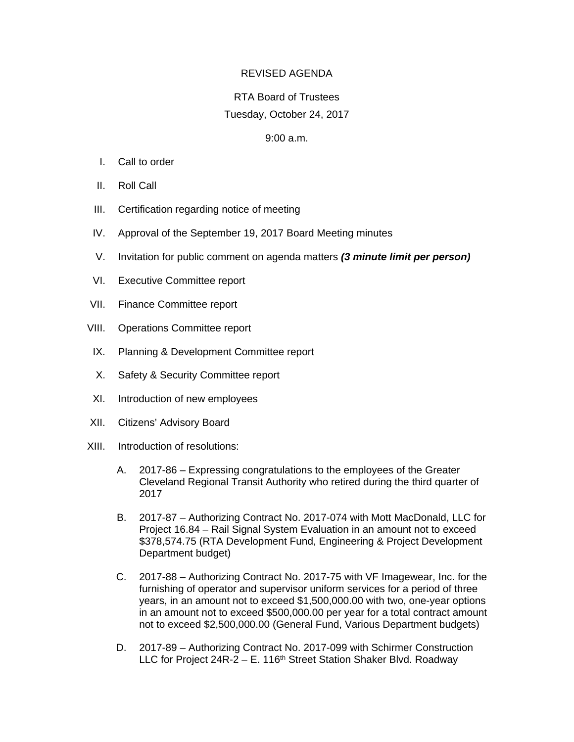## REVISED AGENDA

## RTA Board of Trustees Tuesday, October 24, 2017

## 9:00 a.m.

- I. Call to order
- II. Roll Call
- III. Certification regarding notice of meeting
- IV. Approval of the September 19, 2017 Board Meeting minutes
- V. Invitation for public comment on agenda matters *(3 minute limit per person)*
- VI. Executive Committee report
- VII. Finance Committee report
- VIII. Operations Committee report
- IX. Planning & Development Committee report
- X. Safety & Security Committee report
- XI. Introduction of new employees
- XII. Citizens' Advisory Board
- XIII. Introduction of resolutions:
	- A. 2017-86 Expressing congratulations to the employees of the Greater Cleveland Regional Transit Authority who retired during the third quarter of 2017
	- B. 2017-87 Authorizing Contract No. 2017-074 with Mott MacDonald, LLC for Project 16.84 – Rail Signal System Evaluation in an amount not to exceed \$378,574.75 (RTA Development Fund, Engineering & Project Development Department budget)
	- C. 2017-88 Authorizing Contract No. 2017-75 with VF Imagewear, Inc. for the furnishing of operator and supervisor uniform services for a period of three years, in an amount not to exceed \$1,500,000.00 with two, one-year options in an amount not to exceed \$500,000.00 per year for a total contract amount not to exceed \$2,500,000.00 (General Fund, Various Department budgets)
	- D. 2017-89 Authorizing Contract No. 2017-099 with Schirmer Construction LLC for Project  $24R - 2 - E$ . 116<sup>th</sup> Street Station Shaker Blvd. Roadway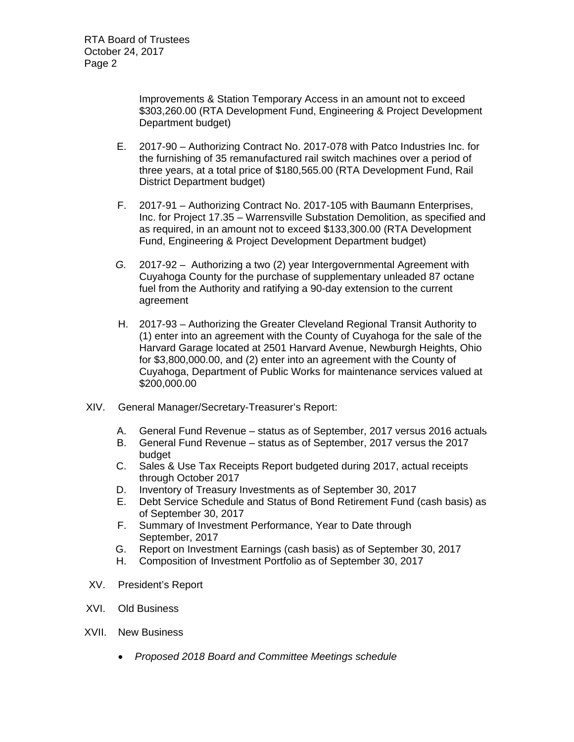Improvements & Station Temporary Access in an amount not to exceed \$303,260.00 (RTA Development Fund, Engineering & Project Development Department budget)

- E. 2017-90 Authorizing Contract No. 2017-078 with Patco Industries Inc. for the furnishing of 35 remanufactured rail switch machines over a period of three years, at a total price of \$180,565.00 (RTA Development Fund, Rail District Department budget)
- F. 2017-91 Authorizing Contract No. 2017-105 with Baumann Enterprises, Inc. for Project 17.35 – Warrensville Substation Demolition, as specified and as required, in an amount not to exceed \$133,300.00 (RTA Development Fund, Engineering & Project Development Department budget)
- *G.* 2017-92 Authorizing a two (2) year Intergovernmental Agreement with Cuyahoga County for the purchase of supplementary unleaded 87 octane fuel from the Authority and ratifying a 90-day extension to the current agreement
- H. 2017-93 Authorizing the Greater Cleveland Regional Transit Authority to (1) enter into an agreement with the County of Cuyahoga for the sale of the Harvard Garage located at 2501 Harvard Avenue, Newburgh Heights, Ohio for \$3,800,000.00, and (2) enter into an agreement with the County of Cuyahoga, Department of Public Works for maintenance services valued at \$200,000.00
- XIV. General Manager/Secretary-Treasurer's Report:
	- A. General Fund Revenue status as of September, 2017 versus 2016 actuals
	- B. General Fund Revenue status as of September, 2017 versus the 2017 budget
	- C. Sales & Use Tax Receipts Report budgeted during 2017, actual receipts through October 2017
	- D. Inventory of Treasury Investments as of September 30, 2017
	- E. Debt Service Schedule and Status of Bond Retirement Fund (cash basis) as of September 30, 2017
	- F. Summary of Investment Performance, Year to Date through September, 2017
	- G. Report on Investment Earnings (cash basis) as of September 30, 2017
	- H. Composition of Investment Portfolio as of September 30, 2017
- XV. President's Report
- XVI. Old Business
- XVII. New Business
	- *Proposed 2018 Board and Committee Meetings schedule*